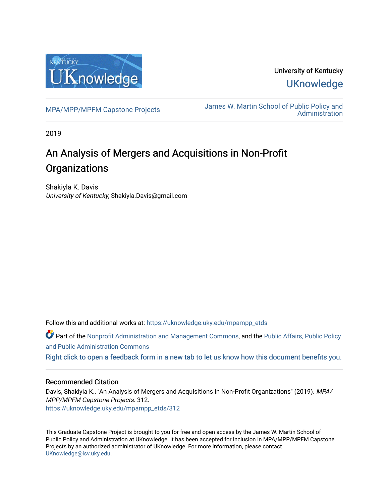

University of Kentucky **UKnowledge** 

[MPA/MPP/MPFM Capstone Projects](https://uknowledge.uky.edu/mpampp_etds) James W. Martin School of Public Policy and [Administration](https://uknowledge.uky.edu/msppa) 

2019

# An Analysis of Mergers and Acquisitions in Non-Profit **Organizations**

Shakiyla K. Davis University of Kentucky, Shakiyla.Davis@gmail.com

Follow this and additional works at: [https://uknowledge.uky.edu/mpampp\\_etds](https://uknowledge.uky.edu/mpampp_etds?utm_source=uknowledge.uky.edu%2Fmpampp_etds%2F312&utm_medium=PDF&utm_campaign=PDFCoverPages)

Part of the [Nonprofit Administration and Management Commons,](http://network.bepress.com/hgg/discipline/1228?utm_source=uknowledge.uky.edu%2Fmpampp_etds%2F312&utm_medium=PDF&utm_campaign=PDFCoverPages) and the [Public Affairs, Public Policy](http://network.bepress.com/hgg/discipline/393?utm_source=uknowledge.uky.edu%2Fmpampp_etds%2F312&utm_medium=PDF&utm_campaign=PDFCoverPages)  [and Public Administration Commons](http://network.bepress.com/hgg/discipline/393?utm_source=uknowledge.uky.edu%2Fmpampp_etds%2F312&utm_medium=PDF&utm_campaign=PDFCoverPages) 

[Right click to open a feedback form in a new tab to let us know how this document benefits you.](https://uky.az1.qualtrics.com/jfe/form/SV_9mq8fx2GnONRfz7)

# Recommended Citation

Davis, Shakiyla K., "An Analysis of Mergers and Acquisitions in Non-Profit Organizations" (2019). MPA/ MPP/MPFM Capstone Projects. 312. [https://uknowledge.uky.edu/mpampp\\_etds/312](https://uknowledge.uky.edu/mpampp_etds/312?utm_source=uknowledge.uky.edu%2Fmpampp_etds%2F312&utm_medium=PDF&utm_campaign=PDFCoverPages)

This Graduate Capstone Project is brought to you for free and open access by the James W. Martin School of Public Policy and Administration at UKnowledge. It has been accepted for inclusion in MPA/MPP/MPFM Capstone Projects by an authorized administrator of UKnowledge. For more information, please contact [UKnowledge@lsv.uky.edu.](mailto:UKnowledge@lsv.uky.edu)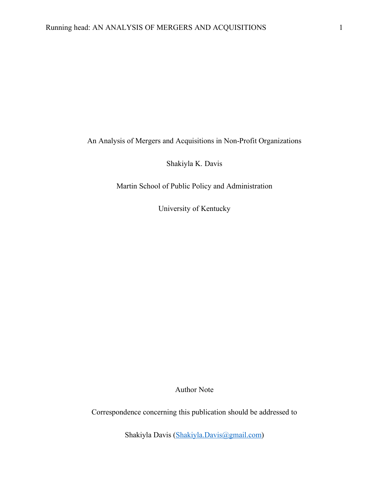An Analysis of Mergers and Acquisitions in Non-Profit Organizations

Shakiyla K. Davis

Martin School of Public Policy and Administration

University of Kentucky

Author Note

Correspondence concerning this publication should be addressed to

Shakiyla Davis (Shakiyla.Davis@gmail.com)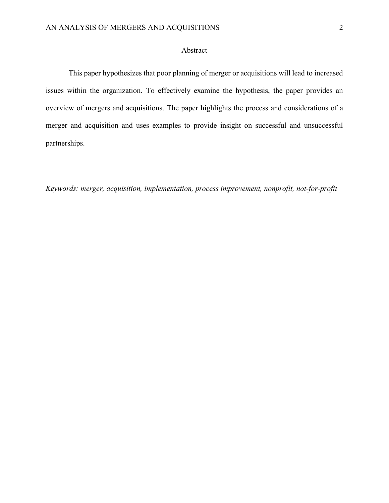# Abstract

This paper hypothesizes that poor planning of merger or acquisitions will lead to increased issues within the organization. To effectively examine the hypothesis, the paper provides an overview of mergers and acquisitions. The paper highlights the process and considerations of a merger and acquisition and uses examples to provide insight on successful and unsuccessful partnerships.

*Keywords: merger, acquisition, implementation, process improvement, nonprofit, not-for-profit*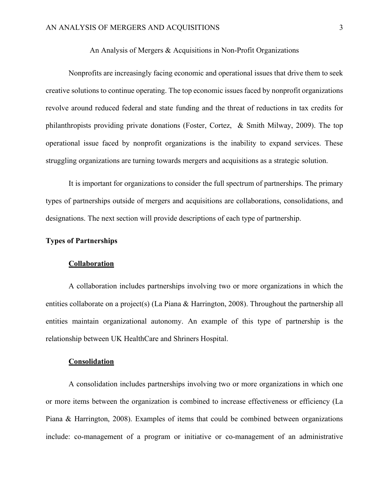### An Analysis of Mergers & Acquisitions in Non-Profit Organizations

Nonprofits are increasingly facing economic and operational issues that drive them to seek creative solutions to continue operating. The top economic issues faced by nonprofit organizations revolve around reduced federal and state funding and the threat of reductions in tax credits for philanthropists providing private donations (Foster, Cortez, & Smith Milway, 2009). The top operational issue faced by nonprofit organizations is the inability to expand services. These struggling organizations are turning towards mergers and acquisitions as a strategic solution.

It is important for organizations to consider the full spectrum of partnerships. The primary types of partnerships outside of mergers and acquisitions are collaborations, consolidations, and designations. The next section will provide descriptions of each type of partnership.

# **Types of Partnerships**

#### **Collaboration**

A collaboration includes partnerships involving two or more organizations in which the entities collaborate on a project(s) (La Piana & Harrington, 2008). Throughout the partnership all entities maintain organizational autonomy. An example of this type of partnership is the relationship between UK HealthCare and Shriners Hospital.

## **Consolidation**

A consolidation includes partnerships involving two or more organizations in which one or more items between the organization is combined to increase effectiveness or efficiency (La Piana & Harrington, 2008). Examples of items that could be combined between organizations include: co-management of a program or initiative or co-management of an administrative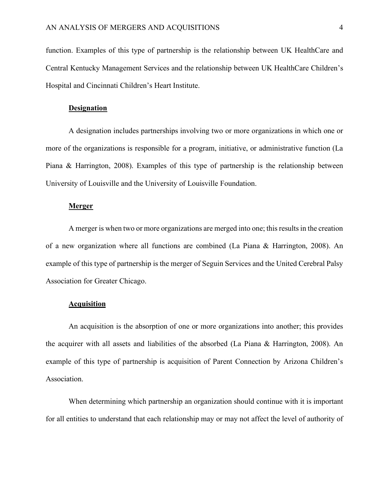function. Examples of this type of partnership is the relationship between UK HealthCare and Central Kentucky Management Services and the relationship between UK HealthCare Children's Hospital and Cincinnati Children's Heart Institute.

#### **Designation**

A designation includes partnerships involving two or more organizations in which one or more of the organizations is responsible for a program, initiative, or administrative function (La Piana & Harrington, 2008). Examples of this type of partnership is the relationship between University of Louisville and the University of Louisville Foundation.

## **Merger**

A merger is when two or more organizations are merged into one; this results in the creation of a new organization where all functions are combined (La Piana & Harrington, 2008). An example of this type of partnership is the merger of Seguin Services and the United Cerebral Palsy Association for Greater Chicago.

# **Acquisition**

An acquisition is the absorption of one or more organizations into another; this provides the acquirer with all assets and liabilities of the absorbed (La Piana & Harrington, 2008). An example of this type of partnership is acquisition of Parent Connection by Arizona Children's Association.

When determining which partnership an organization should continue with it is important for all entities to understand that each relationship may or may not affect the level of authority of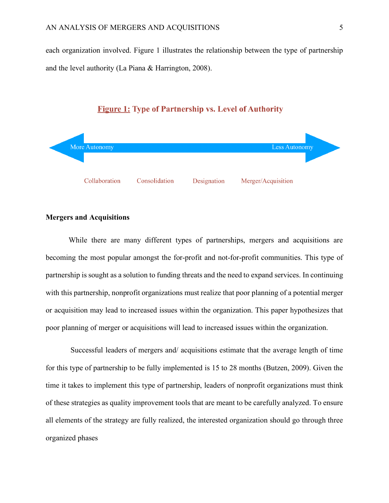each organization involved. Figure 1 illustrates the relationship between the type of partnership and the level authority (La Piana & Harrington, 2008).





# **Mergers and Acquisitions**

While there are many different types of partnerships, mergers and acquisitions are becoming the most popular amongst the for-profit and not-for-profit communities. This type of partnership is sought as a solution to funding threats and the need to expand services. In continuing with this partnership, nonprofit organizations must realize that poor planning of a potential merger or acquisition may lead to increased issues within the organization. This paper hypothesizes that poor planning of merger or acquisitions will lead to increased issues within the organization.

Successful leaders of mergers and/ acquisitions estimate that the average length of time for this type of partnership to be fully implemented is 15 to 28 months (Butzen, 2009). Given the time it takes to implement this type of partnership, leaders of nonprofit organizations must think of these strategies as quality improvement tools that are meant to be carefully analyzed. To ensure all elements of the strategy are fully realized, the interested organization should go through three organized phases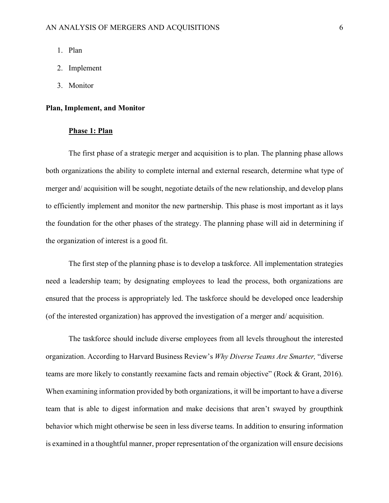- 1. Plan
- 2. Implement
- 3. Monitor

### **Plan, Implement, and Monitor**

# **Phase 1: Plan**

The first phase of a strategic merger and acquisition is to plan. The planning phase allows both organizations the ability to complete internal and external research, determine what type of merger and/ acquisition will be sought, negotiate details of the new relationship, and develop plans to efficiently implement and monitor the new partnership. This phase is most important as it lays the foundation for the other phases of the strategy. The planning phase will aid in determining if the organization of interest is a good fit.

The first step of the planning phase is to develop a taskforce. All implementation strategies need a leadership team; by designating employees to lead the process, both organizations are ensured that the process is appropriately led. The taskforce should be developed once leadership (of the interested organization) has approved the investigation of a merger and/ acquisition.

The taskforce should include diverse employees from all levels throughout the interested organization. According to Harvard Business Review's *Why Diverse Teams Are Smarter,* "diverse teams are more likely to constantly reexamine facts and remain objective" (Rock & Grant, 2016). When examining information provided by both organizations, it will be important to have a diverse team that is able to digest information and make decisions that aren't swayed by groupthink behavior which might otherwise be seen in less diverse teams. In addition to ensuring information is examined in a thoughtful manner, proper representation of the organization will ensure decisions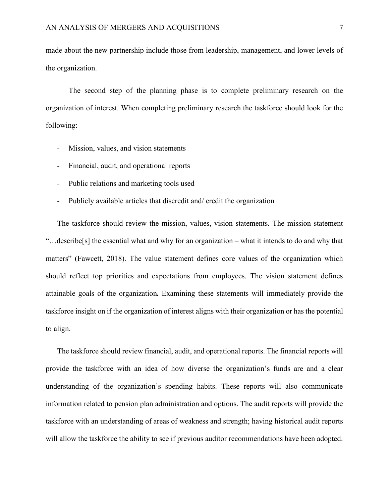made about the new partnership include those from leadership, management, and lower levels of the organization.

The second step of the planning phase is to complete preliminary research on the organization of interest. When completing preliminary research the taskforce should look for the following:

- Mission, values, and vision statements
- Financial, audit, and operational reports
- Public relations and marketing tools used
- Publicly available articles that discredit and/ credit the organization

The taskforce should review the mission, values, vision statements. The mission statement "…describe[s] the essential what and why for an organization – what it intends to do and why that matters" (Fawcett, 2018). The value statement defines core values of the organization which should reflect top priorities and expectations from employees. The vision statement defines attainable goals of the organization**.** Examining these statements will immediately provide the taskforce insight on if the organization of interest aligns with their organization or has the potential to align.

The taskforce should review financial, audit, and operational reports. The financial reports will provide the taskforce with an idea of how diverse the organization's funds are and a clear understanding of the organization's spending habits. These reports will also communicate information related to pension plan administration and options. The audit reports will provide the taskforce with an understanding of areas of weakness and strength; having historical audit reports will allow the taskforce the ability to see if previous auditor recommendations have been adopted.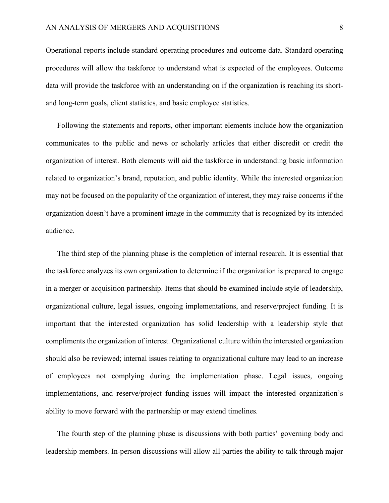Operational reports include standard operating procedures and outcome data. Standard operating procedures will allow the taskforce to understand what is expected of the employees. Outcome data will provide the taskforce with an understanding on if the organization is reaching its shortand long-term goals, client statistics, and basic employee statistics.

Following the statements and reports, other important elements include how the organization communicates to the public and news or scholarly articles that either discredit or credit the organization of interest. Both elements will aid the taskforce in understanding basic information related to organization's brand, reputation, and public identity. While the interested organization may not be focused on the popularity of the organization of interest, they may raise concerns if the organization doesn't have a prominent image in the community that is recognized by its intended audience.

The third step of the planning phase is the completion of internal research. It is essential that the taskforce analyzes its own organization to determine if the organization is prepared to engage in a merger or acquisition partnership. Items that should be examined include style of leadership, organizational culture, legal issues, ongoing implementations, and reserve/project funding. It is important that the interested organization has solid leadership with a leadership style that compliments the organization of interest. Organizational culture within the interested organization should also be reviewed; internal issues relating to organizational culture may lead to an increase of employees not complying during the implementation phase. Legal issues, ongoing implementations, and reserve/project funding issues will impact the interested organization's ability to move forward with the partnership or may extend timelines.

The fourth step of the planning phase is discussions with both parties' governing body and leadership members. In-person discussions will allow all parties the ability to talk through major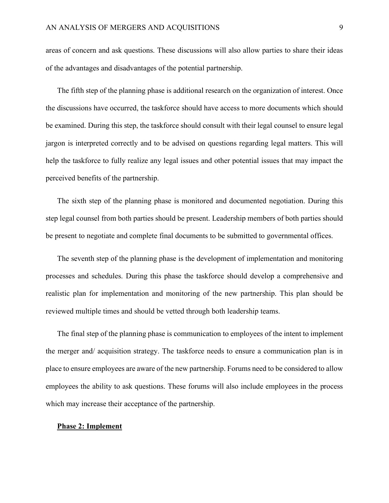areas of concern and ask questions. These discussions will also allow parties to share their ideas of the advantages and disadvantages of the potential partnership.

The fifth step of the planning phase is additional research on the organization of interest. Once the discussions have occurred, the taskforce should have access to more documents which should be examined. During this step, the taskforce should consult with their legal counsel to ensure legal jargon is interpreted correctly and to be advised on questions regarding legal matters. This will help the taskforce to fully realize any legal issues and other potential issues that may impact the perceived benefits of the partnership.

The sixth step of the planning phase is monitored and documented negotiation. During this step legal counsel from both parties should be present. Leadership members of both parties should be present to negotiate and complete final documents to be submitted to governmental offices.

The seventh step of the planning phase is the development of implementation and monitoring processes and schedules. During this phase the taskforce should develop a comprehensive and realistic plan for implementation and monitoring of the new partnership. This plan should be reviewed multiple times and should be vetted through both leadership teams.

The final step of the planning phase is communication to employees of the intent to implement the merger and/ acquisition strategy. The taskforce needs to ensure a communication plan is in place to ensure employees are aware of the new partnership. Forums need to be considered to allow employees the ability to ask questions. These forums will also include employees in the process which may increase their acceptance of the partnership.

#### **Phase 2: Implement**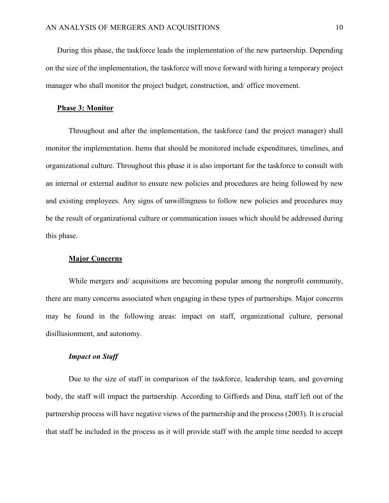During this phase, the taskforce leads the implementation of the new partnership. Depending on the size of the implementation, the taskforce will move forward with hiring a temporary project manager who shall monitor the project budget, construction, and/ office movement.

#### **Phase 3: Monitor**

Throughout and after the implementation, the taskforce (and the project manager) shall monitor the implementation. Items that should be monitored include expenditures, timelines, and organizational culture. Throughout this phase it is also important for the taskforce to consult with an internal or external auditor to ensure new policies and procedures are being followed by new and existing employees. Any signs of unwillingness to follow new policies and procedures may be the result of organizational culture or communication issues which should be addressed during this phase.

#### **Major Concerns**

While mergers and/ acquisitions are becoming popular among the nonprofit community, there are many concerns associated when engaging in these types of partnerships. Major concerns may be found in the following areas: impact on staff, organizational culture, personal disillusionment, and autonomy.

# *Impact on Staff*

Due to the size of staff in comparison of the taskforce, leadership team, and governing body, the staff will impact the partnership. According to Giffords and Dina, staff left out of the partnership process will have negative views of the partnership and the process (2003). It is crucial that staff be included in the process as it will provide staff with the ample time needed to accept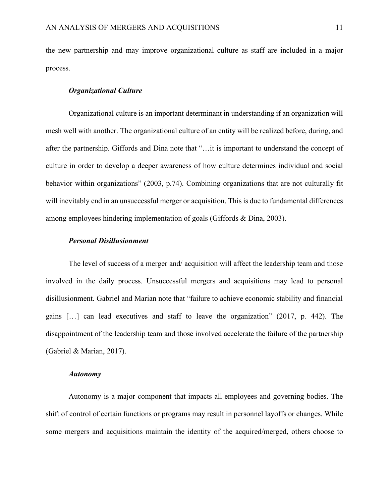the new partnership and may improve organizational culture as staff are included in a major process.

### *Organizational Culture*

Organizational culture is an important determinant in understanding if an organization will mesh well with another. The organizational culture of an entity will be realized before, during, and after the partnership. Giffords and Dina note that "…it is important to understand the concept of culture in order to develop a deeper awareness of how culture determines individual and social behavior within organizations" (2003, p.74). Combining organizations that are not culturally fit will inevitably end in an unsuccessful merger or acquisition. This is due to fundamental differences among employees hindering implementation of goals (Giffords & Dina, 2003).

## *Personal Disillusionment*

The level of success of a merger and/ acquisition will affect the leadership team and those involved in the daily process. Unsuccessful mergers and acquisitions may lead to personal disillusionment. Gabriel and Marian note that "failure to achieve economic stability and financial gains […] can lead executives and staff to leave the organization" (2017, p. 442). The disappointment of the leadership team and those involved accelerate the failure of the partnership (Gabriel & Marian, 2017).

### *Autonomy*

Autonomy is a major component that impacts all employees and governing bodies. The shift of control of certain functions or programs may result in personnel layoffs or changes. While some mergers and acquisitions maintain the identity of the acquired/merged, others choose to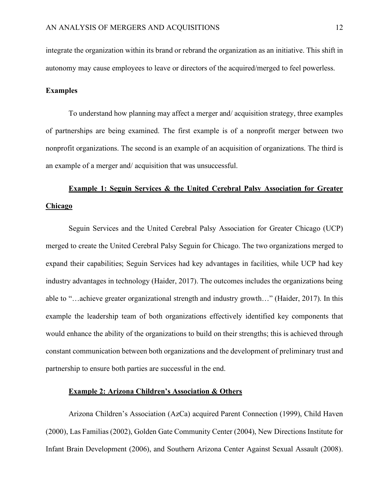integrate the organization within its brand or rebrand the organization as an initiative. This shift in autonomy may cause employees to leave or directors of the acquired/merged to feel powerless.

## **Examples**

To understand how planning may affect a merger and/ acquisition strategy, three examples of partnerships are being examined. The first example is of a nonprofit merger between two nonprofit organizations. The second is an example of an acquisition of organizations. The third is an example of a merger and/ acquisition that was unsuccessful.

# **Example 1: Seguin Services & the United Cerebral Palsy Association for Greater Chicago**

Seguin Services and the United Cerebral Palsy Association for Greater Chicago (UCP) merged to create the United Cerebral Palsy Seguin for Chicago. The two organizations merged to expand their capabilities; Seguin Services had key advantages in facilities, while UCP had key industry advantages in technology (Haider, 2017). The outcomes includes the organizations being able to "…achieve greater organizational strength and industry growth…" (Haider, 2017). In this example the leadership team of both organizations effectively identified key components that would enhance the ability of the organizations to build on their strengths; this is achieved through constant communication between both organizations and the development of preliminary trust and partnership to ensure both parties are successful in the end.

# **Example 2: Arizona Children's Association & Others**

Arizona Children's Association (AzCa) acquired Parent Connection (1999), Child Haven (2000), Las Familias (2002), Golden Gate Community Center (2004), New Directions Institute for Infant Brain Development (2006), and Southern Arizona Center Against Sexual Assault (2008).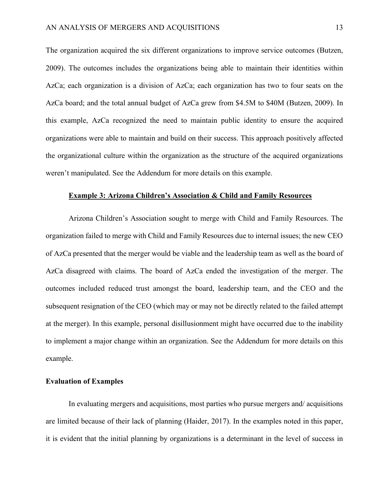The organization acquired the six different organizations to improve service outcomes (Butzen, 2009). The outcomes includes the organizations being able to maintain their identities within AzCa; each organization is a division of AzCa; each organization has two to four seats on the AzCa board; and the total annual budget of AzCa grew from \$4.5M to \$40M (Butzen, 2009). In this example, AzCa recognized the need to maintain public identity to ensure the acquired organizations were able to maintain and build on their success. This approach positively affected the organizational culture within the organization as the structure of the acquired organizations weren't manipulated. See the Addendum for more details on this example.

# **Example 3: Arizona Children's Association & Child and Family Resources**

Arizona Children's Association sought to merge with Child and Family Resources. The organization failed to merge with Child and Family Resources due to internal issues; the new CEO of AzCa presented that the merger would be viable and the leadership team as well as the board of AzCa disagreed with claims. The board of AzCa ended the investigation of the merger. The outcomes included reduced trust amongst the board, leadership team, and the CEO and the subsequent resignation of the CEO (which may or may not be directly related to the failed attempt at the merger). In this example, personal disillusionment might have occurred due to the inability to implement a major change within an organization. See the Addendum for more details on this example.

# **Evaluation of Examples**

In evaluating mergers and acquisitions, most parties who pursue mergers and/ acquisitions are limited because of their lack of planning (Haider, 2017). In the examples noted in this paper, it is evident that the initial planning by organizations is a determinant in the level of success in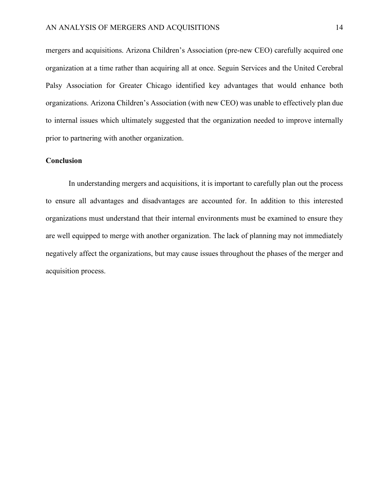mergers and acquisitions. Arizona Children's Association (pre-new CEO) carefully acquired one organization at a time rather than acquiring all at once. Seguin Services and the United Cerebral Palsy Association for Greater Chicago identified key advantages that would enhance both organizations. Arizona Children's Association (with new CEO) was unable to effectively plan due to internal issues which ultimately suggested that the organization needed to improve internally prior to partnering with another organization.

# **Conclusion**

In understanding mergers and acquisitions, it is important to carefully plan out the process to ensure all advantages and disadvantages are accounted for. In addition to this interested organizations must understand that their internal environments must be examined to ensure they are well equipped to merge with another organization. The lack of planning may not immediately negatively affect the organizations, but may cause issues throughout the phases of the merger and acquisition process.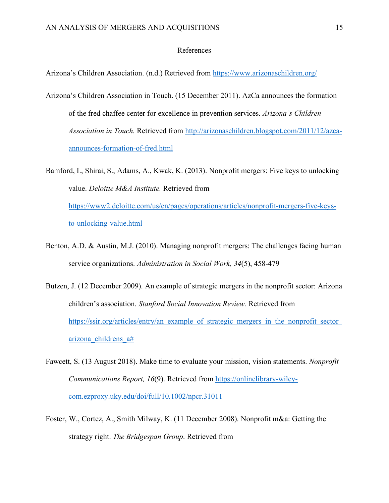#### References

Arizona's Children Association. (n.d.) Retrieved from https://www.arizonaschildren.org/

- Arizona's Children Association in Touch. (15 December 2011). AzCa announces the formation of the fred chaffee center for excellence in prevention services. *Arizona's Children Association in Touch.* Retrieved from http://arizonaschildren.blogspot.com/2011/12/azcaannounces-formation-of-fred.html
- Bamford, I., Shirai, S., Adams, A., Kwak, K. (2013). Nonprofit mergers: Five keys to unlocking value. *Deloitte M&A Institute.* Retrieved from https://www2.deloitte.com/us/en/pages/operations/articles/nonprofit-mergers-five-keysto-unlocking-value.html
- Benton, A.D. & Austin, M.J. (2010). Managing nonprofit mergers: The challenges facing human service organizations. *Administration in Social Work, 34*(5), 458-479
- Butzen, J. (12 December 2009). An example of strategic mergers in the nonprofit sector: Arizona children's association. *Stanford Social Innovation Review.* Retrieved from https://ssir.org/articles/entry/an\_example\_of\_strategic\_mergers\_in\_the\_nonprofit\_sector\_ arizona\_childrens\_a#
- Fawcett, S. (13 August 2018). Make time to evaluate your mission, vision statements. *Nonprofit Communications Report, 16*(9). Retrieved from https://onlinelibrary-wileycom.ezproxy.uky.edu/doi/full/10.1002/npcr.31011
- Foster, W., Cortez, A., Smith Milway, K. (11 December 2008). Nonprofit m&a: Getting the strategy right. *The Bridgespan Group*. Retrieved from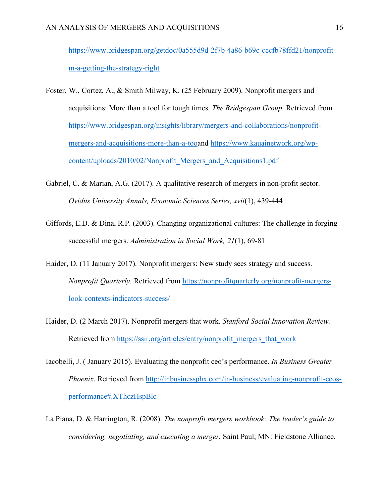https://www.bridgespan.org/getdoc/0a555d9d-2f7b-4a86-b69c-cccfb78ffd21/nonprofitm-a-getting-the-strategy-right

- Foster, W., Cortez, A., & Smith Milway, K. (25 February 2009). Nonprofit mergers and acquisitions: More than a tool for tough times. *The Bridgespan Group.* Retrieved from https://www.bridgespan.org/insights/library/mergers-and-collaborations/nonprofitmergers-and-acquisitions-more-than-a-tooand https://www.kauainetwork.org/wpcontent/uploads/2010/02/Nonprofit\_Mergers\_and\_Acquisitions1.pdf
- Gabriel, C. & Marian, A.G. (2017). A qualitative research of mergers in non-profit sector. *Ovidus University Annals, Economic Sciences Series, xvii*(1), 439-444
- Giffords, E.D. & Dina, R.P. (2003). Changing organizational cultures: The challenge in forging successful mergers. *Administration in Social Work, 21*(1), 69-81
- Haider, D. (11 January 2017). Nonprofit mergers: New study sees strategy and success. *Nonprofit Quarterly.* Retrieved from https://nonprofitquarterly.org/nonprofit-mergerslook-contexts-indicators-success/
- Haider, D. (2 March 2017). Nonprofit mergers that work. *Stanford Social Innovation Review.*  Retrieved from https://ssir.org/articles/entry/nonprofit\_mergers\_that\_work
- Iacobelli, J. ( January 2015). Evaluating the nonprofit ceo's performance. *In Business Greater Phoenix*. Retrieved from http://inbusinessphx.com/in-business/evaluating-nonprofit-ceosperformance#.XThczHspBlc
- La Piana, D. & Harrington, R. (2008). *The nonprofit mergers workbook: The leader's guide to considering, negotiating, and executing a merger.* Saint Paul, MN: Fieldstone Alliance.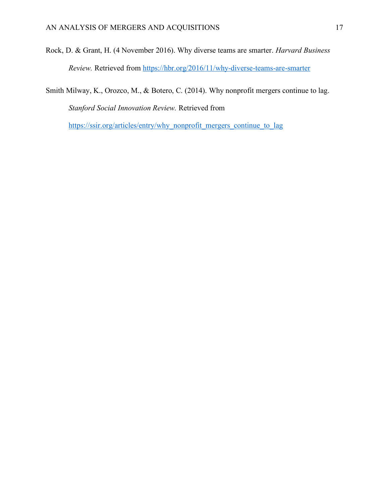Rock, D. & Grant, H. (4 November 2016). Why diverse teams are smarter. *Harvard Business Review.* Retrieved from https://hbr.org/2016/11/why-diverse-teams-are-smarter

Smith Milway, K., Orozco, M., & Botero, C. (2014). Why nonprofit mergers continue to lag. *Stanford Social Innovation Review.* Retrieved from

https://ssir.org/articles/entry/why\_nonprofit\_mergers\_continue\_to\_lag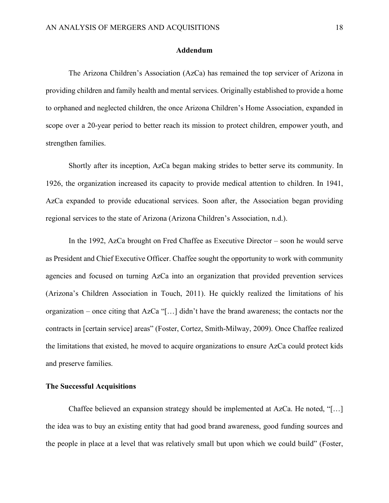#### **Addendum**

The Arizona Children's Association (AzCa) has remained the top servicer of Arizona in providing children and family health and mental services. Originally established to provide a home to orphaned and neglected children, the once Arizona Children's Home Association, expanded in scope over a 20-year period to better reach its mission to protect children, empower youth, and strengthen families.

Shortly after its inception, AzCa began making strides to better serve its community. In 1926, the organization increased its capacity to provide medical attention to children. In 1941, AzCa expanded to provide educational services. Soon after, the Association began providing regional services to the state of Arizona (Arizona Children's Association, n.d.).

In the 1992, AzCa brought on Fred Chaffee as Executive Director – soon he would serve as President and Chief Executive Officer. Chaffee sought the opportunity to work with community agencies and focused on turning AzCa into an organization that provided prevention services (Arizona's Children Association in Touch, 2011). He quickly realized the limitations of his organization – once citing that AzCa "[…] didn't have the brand awareness; the contacts nor the contracts in [certain service] areas" (Foster, Cortez, Smith-Milway, 2009). Once Chaffee realized the limitations that existed, he moved to acquire organizations to ensure AzCa could protect kids and preserve families.

## **The Successful Acquisitions**

Chaffee believed an expansion strategy should be implemented at AzCa. He noted, "[…] the idea was to buy an existing entity that had good brand awareness, good funding sources and the people in place at a level that was relatively small but upon which we could build" (Foster,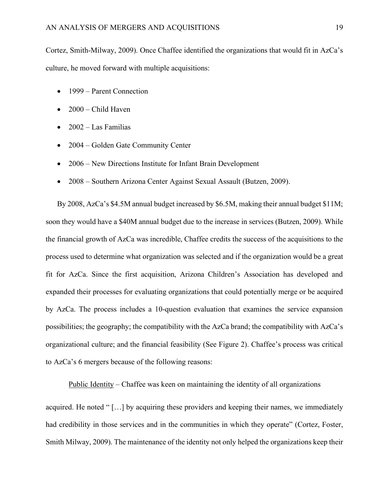Cortez, Smith-Milway, 2009). Once Chaffee identified the organizations that would fit in AzCa's culture, he moved forward with multiple acquisitions:

- 1999 Parent Connection
- 2000 Child Haven
- $\bullet$  2002 Las Familias
- 2004 Golden Gate Community Center
- 2006 New Directions Institute for Infant Brain Development
- 2008 Southern Arizona Center Against Sexual Assault (Butzen, 2009).

By 2008, AzCa's \$4.5M annual budget increased by \$6.5M, making their annual budget \$11M; soon they would have a \$40M annual budget due to the increase in services (Butzen, 2009). While the financial growth of AzCa was incredible, Chaffee credits the success of the acquisitions to the process used to determine what organization was selected and if the organization would be a great fit for AzCa. Since the first acquisition, Arizona Children's Association has developed and expanded their processes for evaluating organizations that could potentially merge or be acquired by AzCa. The process includes a 10-question evaluation that examines the service expansion possibilities; the geography; the compatibility with the AzCa brand; the compatibility with AzCa's organizational culture; and the financial feasibility (See Figure 2). Chaffee's process was critical to AzCa's 6 mergers because of the following reasons:

Public Identity – Chaffee was keen on maintaining the identity of all organizations

acquired. He noted " […] by acquiring these providers and keeping their names, we immediately had credibility in those services and in the communities in which they operate" (Cortez, Foster, Smith Milway, 2009). The maintenance of the identity not only helped the organizations keep their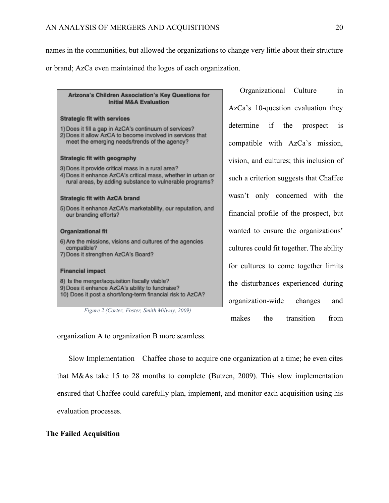names in the communities, but allowed the organizations to change very little about their structure or brand; AzCa even maintained the logos of each organization.

# Arizona's Children Association's Key Questions for **Initial M&A Evaluation**

#### **Strategic fit with services**

- 1) Does it fill a gap in AzCA's continuum of services?
- 2) Does it allow AzCA to become involved in services that meet the emerging needs/trends of the agency?

#### Strategic fit with geography

3) Does it provide critical mass in a rural area?

4) Does it enhance AzCA's critical mass, whether in urban or rural areas, by adding substance to vulnerable programs?

#### **Strategic fit with AzCA brand**

5) Does it enhance AzCA's marketability, our reputation, and our branding efforts?

#### **Organizational fit**

- 6) Are the missions, visions and cultures of the agencies compatible?
- 7) Does it strengthen AzCA's Board?

#### **Financial impact**

8) Is the merger/acquisition fiscally viable? 9) Does it enhance AzCA's ability to fundraise? 10) Does it post a short/long-term financial risk to AzCA?

*Figure 2 (Cortez, Foster, Smith Milway, 2009)*

Organizational Culture – in AzCa's 10-question evaluation they determine if the prospect is compatible with AzCa's mission, vision, and cultures; this inclusion of such a criterion suggests that Chaffee wasn't only concerned with the financial profile of the prospect, but wanted to ensure the organizations' cultures could fit together. The ability for cultures to come together limits the disturbances experienced during organization-wide changes and makes the transition from

organization A to organization B more seamless.

Slow Implementation – Chaffee chose to acquire one organization at a time; he even cites that M&As take 15 to 28 months to complete (Butzen, 2009). This slow implementation ensured that Chaffee could carefully plan, implement, and monitor each acquisition using his evaluation processes.

#### **The Failed Acquisition**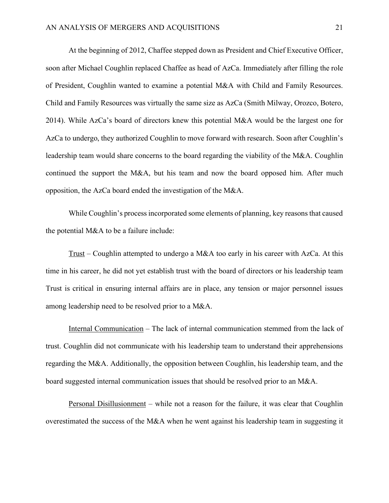At the beginning of 2012, Chaffee stepped down as President and Chief Executive Officer, soon after Michael Coughlin replaced Chaffee as head of AzCa. Immediately after filling the role of President, Coughlin wanted to examine a potential M&A with Child and Family Resources. Child and Family Resources was virtually the same size as AzCa (Smith Milway, Orozco, Botero, 2014). While AzCa's board of directors knew this potential M&A would be the largest one for AzCa to undergo, they authorized Coughlin to move forward with research. Soon after Coughlin's leadership team would share concerns to the board regarding the viability of the M&A. Coughlin continued the support the M&A, but his team and now the board opposed him. After much opposition, the AzCa board ended the investigation of the M&A.

While Coughlin's process incorporated some elements of planning, key reasons that caused the potential M&A to be a failure include:

Trust – Coughlin attempted to undergo a M&A too early in his career with AzCa. At this time in his career, he did not yet establish trust with the board of directors or his leadership team Trust is critical in ensuring internal affairs are in place, any tension or major personnel issues among leadership need to be resolved prior to a M&A.

Internal Communication – The lack of internal communication stemmed from the lack of trust. Coughlin did not communicate with his leadership team to understand their apprehensions regarding the M&A. Additionally, the opposition between Coughlin, his leadership team, and the board suggested internal communication issues that should be resolved prior to an M&A.

Personal Disillusionment – while not a reason for the failure, it was clear that Coughlin overestimated the success of the M&A when he went against his leadership team in suggesting it